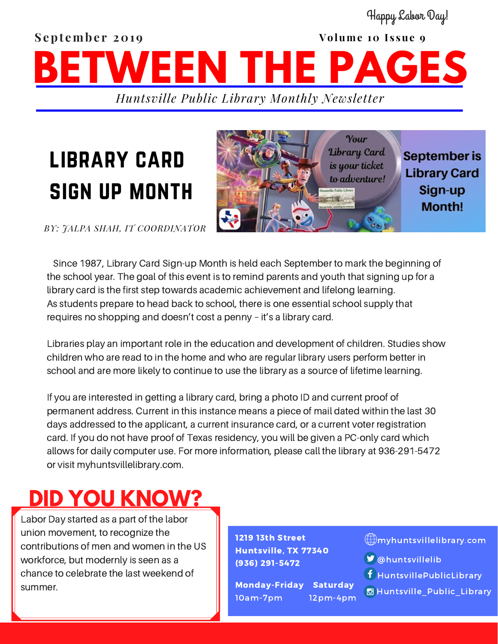### **September 2019 volume 10 Issue 9** *Huntsville Public Library Monthly Newsletter* **BETWEEN THE PAGES** Happy Labor Day!

# library card sign up month



*BY: JALPA SHAH, IT COORDINATOR*

Since 1987, Library Card Sign-up Month is held each September to mark the beginning of the school year. The goal of this event is to remind parents and youth that signing up for a library card is the first step towards academic achievement and lifelong learning. As students prepare to head back to school, there is one essential school supply that requires no shopping and doesn't cost a penny – it's a library card.

Libraries play an important role in the education and development of children. Studies show children who are read to in the home and who are regular library users perform better in school and are more likely to continue to use the library as a source of lifetime learning.

If you are interested in getting a library card, bring a photo ID and current proof of permanent address. Current in this instance means a piece of mail dated within the last 30 days addressed to the applicant, a current insurance card, or a current voter registration card. If you do not have proof of Texas residency, you will be given a PC-only card which allows for daily computer use. For more information, please call the library at 936-291-5472 or visit myhuntsvillelibrary.com.

### **DID YOU KNOW?**

Labor Day started as a part of the labor union movement, to recognize the contributions of men and women in the US workforce, but modernly is seen as a chance to celebrate the last weekend of summer.

1219 13th Street Huntsville, TX 77340 (936) 291-5472

Monday-Friday Saturday 10am-7pm 12pm-4pm

#### myhuntsvillelibrary.com

- **D**@huntsvillelib
- HuntsvillePublicLibrary
- **B** Huntsville Public Library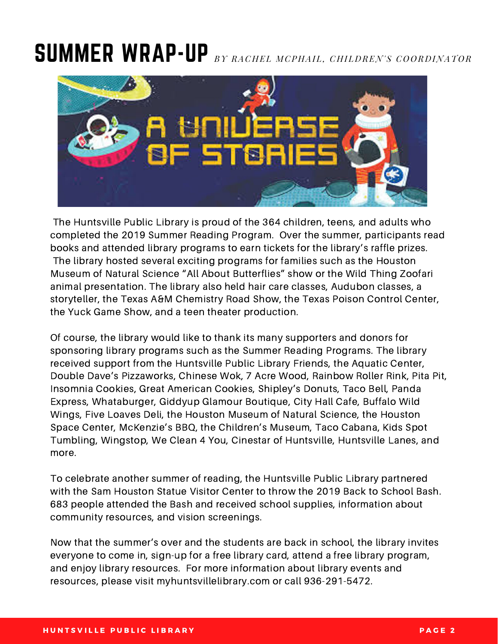## SUMMER WRAP-UP BY RACHEL MCPHAIL, CHILDREN'S COORDINATOR



The Huntsville Public Library is proud of the 364 children, teens, and adults who completed the 2019 Summer Reading Program. Over the summer, participants read books and attended library programs to earn tickets for the library's raffle prizes. The library hosted several exciting programs for families such as the Houston Museum of Natural Science "All About Butterflies" show or the Wild Thing Zoofari animal presentation. The library also held hair care classes, Audubon classes, a storyteller, the Texas A&M Chemistry Road Show, the Texas Poison Control Center, the Yuck Game Show, and a teen theater production.

Of course, the library would like to thank its many supporters and donors for sponsoring library programs such as the Summer Reading Programs. The library received support from the Huntsville Public Library Friends, the Aquatic Center, Double Dave's Pizzaworks, Chinese Wok, 7 Acre Wood, Rainbow Roller Rink, Pita Pit, Insomnia Cookies, Great American Cookies, Shipley's Donuts, Taco Bell, Panda Express, Whataburger, Giddyup Glamour Boutique, City Hall Cafe, Buffalo Wild Wings, Five Loaves Deli, the Houston Museum of Natural Science, the Houston Space Center, McKenzie's BBQ, the Children's Museum, Taco Cabana, Kids Spot Tumbling, Wingstop, We Clean 4 You, Cinestar of Huntsville, Huntsville Lanes, and more.

To celebrate another summer of reading, the Huntsville Public Library partnered with the Sam Houston Statue Visitor Center to throw the 2019 Back to School Bash. 683 people attended the Bash and received school supplies, information about community resources, and vision screenings.

Now that the summer's over and the students are back in school, the library invites everyone to come in, sign-up for a free library card, attend a free library program, and enjoy library resources. For more information about library events and resources, please visit myhuntsvillelibrary.com or call 936-291-5472.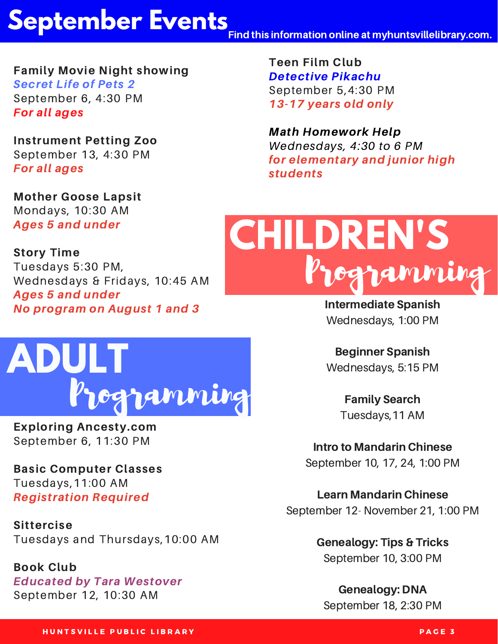## **September Events**

Find this information online at myhuntsvillelibrary.com.

Family Movie Night showing Secret Life of Pets 2 September 6, 4:30 PM For all ages

Instrument Petting Zoo September 13, 4:30 PM For all ages

Mother Goose Lapsit Mondays, 10:30 AM Ages 5 and under

Story Time Tuesdays 5:30 PM, Wednesdays & Fridays, 10:45 AM Ages 5 and under No program on August 1 and 3



Exploring Ancesty.com September 6, 11:30 PM

Basic Computer Classes Tuesdays,11:00 AM Registration Required

Sittercise Tuesdays and Thursdays,10:00 AM

Book Club Educated by Tara Westover September 12, 10:30 AM

Teen Film Club Detective Pikachu September 5,4:30 PM 13-17 years old only

Math Homework Help Wednesdays, 4:30 to 6 PM for elementary and junior high students



Intermediate Spanish Wednesdays, 1:00 PM

Beginner Spanish Wednesdays, 5:15 PM

> Family Search Tuesdays,11 AM

Intro to Mandarin Chinese September 10, 17, 24, 1:00 PM

Learn Mandarin Chinese September 12- November 21, 1:00 PM

> Genealogy: Tips & Tricks September 10, 3:00 PM

Genealogy: DNA September 18, 2:30 PM

H UNTSVILLE PUBLIC LIBRARY AND THE SERVICE OF THE SERVICE STATES OF THE SERVICE STATES OF THE SERVICE STATES O